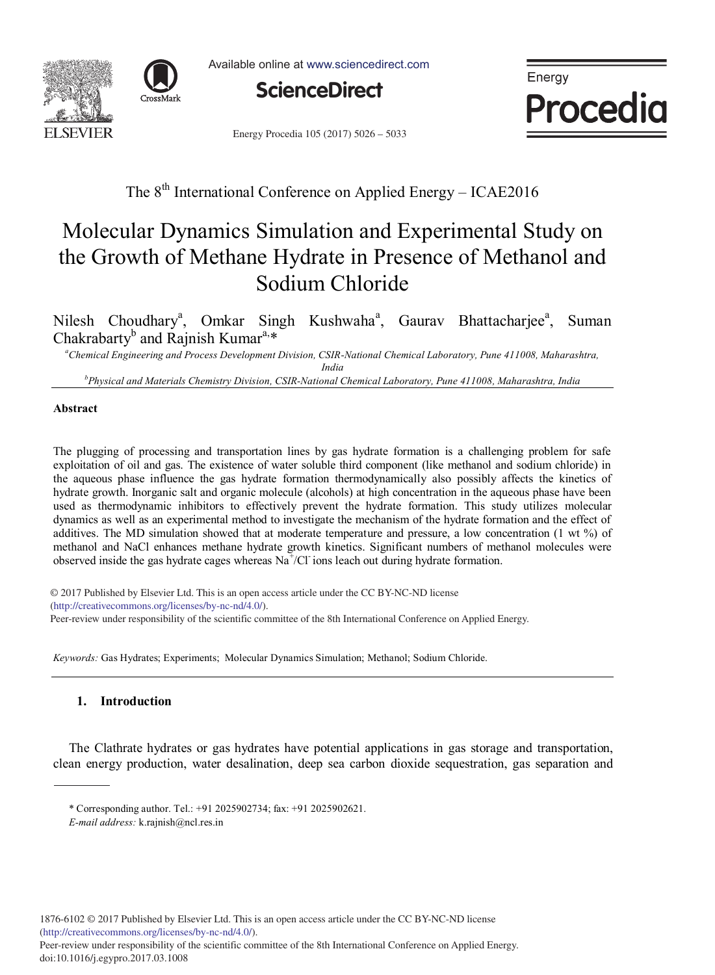



Available online at www.sciencedirect.com



Energy **Procedia** 

Energy Procedia 105 (2017) 5026 - 5033

# The 8<sup>th</sup> International Conference on Applied Energy - ICAE2016

# Molecular Dynamics Simulation and Experimental Study on the Growth of Methane Hydrate in Presence of Methanol and Sodium Chloride

Nilesh Choudhary<sup>a</sup>, Omkar Singh Kushwaha<sup>a</sup>, Gaurav Bhattacharjee<sup>a</sup> , Suman Chakrabarty<sup>b</sup> and Rajnish Kumar<sup>a,\*</sup>

*<sup>a</sup>Chemical Engineering and Process Development Division, CSIR-National Chemical Laboratory, Pune 411008, Maharashtra, India*

*<sup>b</sup>Physical and Materials Chemistry Division, CSIR-National Chemical Laboratory, Pune 411008, Maharashtra, India*

# **Abstract**

The plugging of processing and transportation lines by gas hydrate formation is a challenging problem for safe exploitation of oil and gas. The existence of water soluble third component (like methanol and sodium chloride) in the aqueous phase influence the gas hydrate formation thermodynamically also possibly affects the kinetics of hydrate growth. Inorganic salt and organic molecule (alcohols) at high concentration in the aqueous phase have been used as thermodynamic inhibitors to effectively prevent the hydrate formation. This study utilizes molecular dynamics as well as an experimental method to investigate the mechanism of the hydrate formation and the effect of additives. The MD simulation showed that at moderate temperature and pressure, a low concentration (1 wt %) of methanol and NaCl enhances methane hydrate growth kinetics. Significant numbers of methanol molecules were observed inside the gas hydrate cages whereas  $\text{Na}^+/ \text{Cl}$  ions leach out during hydrate formation.

© 2016 The Authors. Published by Elsevier Ltd. (http://creativecommons.org/licenses/by-nc-nd/4.0/). Peer-review under responsibility of the scientific committee of the 8th International Conference on Applied Energy. © 2017 Published by Elsevier Ltd. This is an open access article under the CC BY-NC-ND license

*Keywords:* Gas Hydrates; Experiments; Molecular Dynamics Simulation; Methanol; Sodium Chloride.

# **1. Introduction**

The Clathrate hydrates or gas hydrates have potential applications in gas storage and transportation, clean energy production, water desalination, deep sea carbon dioxide sequestration, gas separation and

<sup>\*</sup> Corresponding author. Tel.: +91 2025902734; fax: +91 2025902621.

*E-mail address:* k.rajnish@ncl.res.in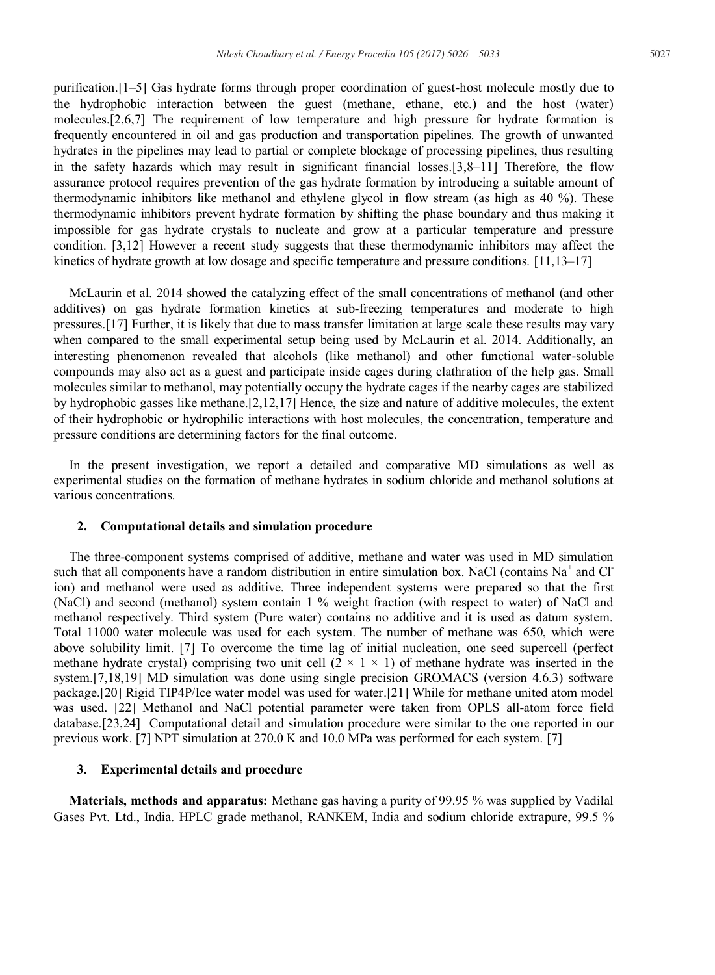purification.[1–5] Gas hydrate forms through proper coordination of guest-host molecule mostly due to the hydrophobic interaction between the guest (methane, ethane, etc.) and the host (water) molecules.[2,6,7] The requirement of low temperature and high pressure for hydrate formation is frequently encountered in oil and gas production and transportation pipelines. The growth of unwanted hydrates in the pipelines may lead to partial or complete blockage of processing pipelines, thus resulting in the safety hazards which may result in significant financial losses.[3,8–11] Therefore, the flow assurance protocol requires prevention of the gas hydrate formation by introducing a suitable amount of thermodynamic inhibitors like methanol and ethylene glycol in flow stream (as high as 40 %). These thermodynamic inhibitors prevent hydrate formation by shifting the phase boundary and thus making it impossible for gas hydrate crystals to nucleate and grow at a particular temperature and pressure condition. [3,12] However a recent study suggests that these thermodynamic inhibitors may affect the kinetics of hydrate growth at low dosage and specific temperature and pressure conditions. [11,13–17]

McLaurin et al. 2014 showed the catalyzing effect of the small concentrations of methanol (and other additives) on gas hydrate formation kinetics at sub-freezing temperatures and moderate to high pressures.[17] Further, it is likely that due to mass transfer limitation at large scale these results may vary when compared to the small experimental setup being used by McLaurin et al. 2014. Additionally, an interesting phenomenon revealed that alcohols (like methanol) and other functional water-soluble compounds may also act as a guest and participate inside cages during clathration of the help gas. Small molecules similar to methanol, may potentially occupy the hydrate cages if the nearby cages are stabilized by hydrophobic gasses like methane.[2,12,17] Hence, the size and nature of additive molecules, the extent of their hydrophobic or hydrophilic interactions with host molecules, the concentration, temperature and pressure conditions are determining factors for the final outcome.

In the present investigation, we report a detailed and comparative MD simulations as well as experimental studies on the formation of methane hydrates in sodium chloride and methanol solutions at various concentrations.

#### **2. Computational details and simulation procedure**

The three-component systems comprised of additive, methane and water was used in MD simulation such that all components have a random distribution in entire simulation box. NaCl (contains  $Na<sup>+</sup>$  and Cl ion) and methanol were used as additive. Three independent systems were prepared so that the first (NaCl) and second (methanol) system contain 1 % weight fraction (with respect to water) of NaCl and methanol respectively. Third system (Pure water) contains no additive and it is used as datum system. Total 11000 water molecule was used for each system. The number of methane was 650, which were above solubility limit. [7] To overcome the time lag of initial nucleation, one seed supercell (perfect methane hydrate crystal) comprising two unit cell  $(2 \times 1 \times 1)$  of methane hydrate was inserted in the system.[7,18,19] MD simulation was done using single precision GROMACS (version 4.6.3) software package.[20] Rigid TIP4P/Ice water model was used for water.[21] While for methane united atom model was used. [22] Methanol and NaCl potential parameter were taken from OPLS all-atom force field database.[23,24] Computational detail and simulation procedure were similar to the one reported in our previous work. [7] NPT simulation at 270.0 K and 10.0 MPa was performed for each system. [7]

#### **3. Experimental details and procedure**

**Materials, methods and apparatus:** Methane gas having a purity of 99.95 % was supplied by Vadilal Gases Pvt. Ltd., India. HPLC grade methanol, RANKEM, India and sodium chloride extrapure, 99.5 %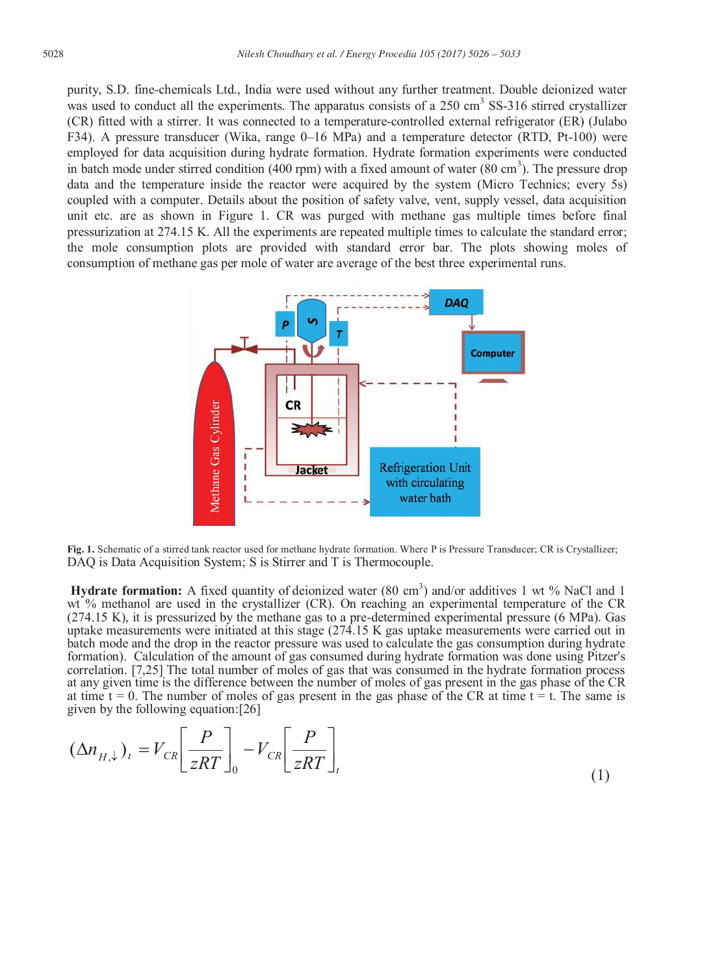purity, S.D. fine-chemicals Ltd., India were used without any further treatment. Double deionized water was used to conduct all the experiments. The apparatus consists of a 250 cm<sup>3</sup> SS-316 stirred crystallizer (CR) fitted with a stirrer. It was connected to a temperature-controlled external refrigerator (ER) (Julabo F34). A pressure transducer (Wika, range 0–16 MPa) and a temperature detector (RTD, Pt-100) were employed for data acquisition during hydrate formation. Hydrate formation experiments were conducted in batch mode under stirred condition (400 rpm) with a fixed amount of water (80 cm<sup>3</sup>). The pressure drop data and the temperature inside the reactor were acquired by the system (Micro Technics; every 5s) coupled with a computer. Details about the position of safety valve, vent, supply vessel, data acquisition unit etc. are as shown in Figure 1. CR was purged with methane gas multiple times before final pressurization at 274.15 K. All the experiments are repeated multiple times to calculate the standard error; the mole consumption plots are provided with standard error bar. The plots showing moles of consumption of methane gas per mole of water are average of the best three experimental runs.



**Fig. 1.** Schematic of a stirred tank reactor used for methane hydrate formation. Where P is Pressure Transducer; CR is Crystallizer; DAQ is Data Acquisition System; S is Stirrer and T is Thermocouple.

**Hydrate formation:** A fixed quantity of deionized water (80 cm<sup>3</sup>) and/or additives 1 wt % NaCl and 1 wt % methanol are used in the crystallizer (CR). On reaching an experimental temperature of the CR (274.15 K), it is pressurized by the methane gas to a pre-determined experimental pressure (6 MPa). Gas uptake measurements were initiated at this stage (274.15 K gas uptake measurements were carried out in batch mode and the drop in the reactor pressure was used to calculate the gas consumption during hydrate formation). Calculation of the amount of gas consumed during hydrate formation was done using Pitzer's correlation. [7,25] The total number of moles of gas that was consumed in the hydrate formation process at any given time is the difference between the number of moles of gas present in the gas phase of the CR at time  $t = 0$ . The number of moles of gas present in the gas phase of the CR at time  $t = t$ . The same is given by the following equation:[26]

$$
(\Delta n_{H,\downarrow})_t = V_{CR} \left[ \frac{P}{zRT} \right]_0 - V_{CR} \left[ \frac{P}{zRT} \right]_t \tag{1}
$$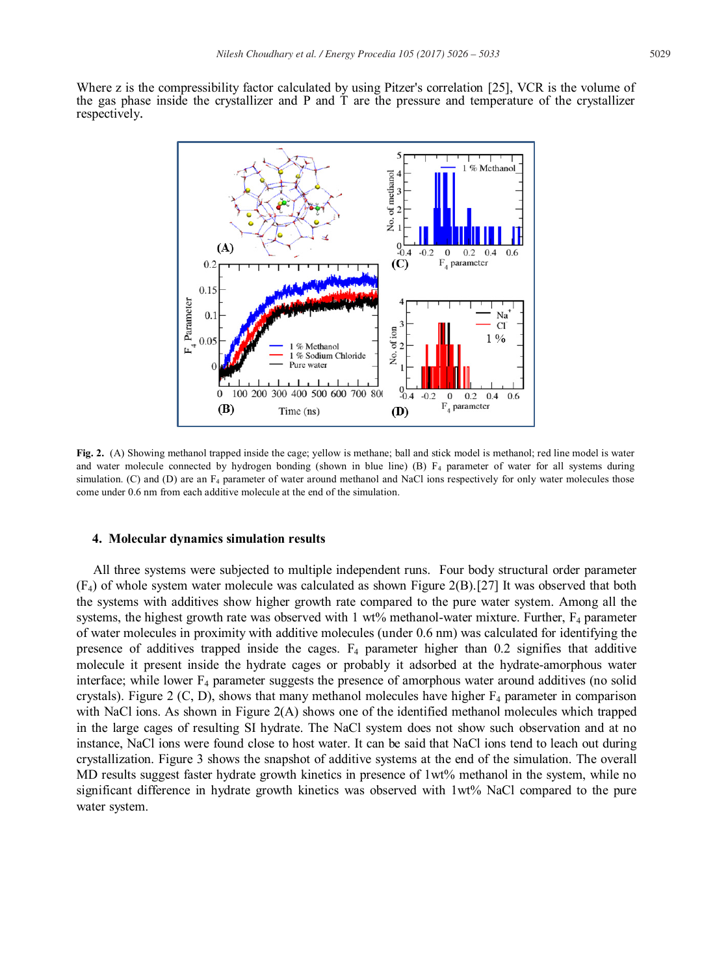Where z is the compressibility factor calculated by using Pitzer's correlation [25], VCR is the volume of the gas phase inside the crystallizer and P and T are the pressure and temperature of the crystallizer respectively.



**Fig. 2.** (A) Showing methanol trapped inside the cage; yellow is methane; ball and stick model is methanol; red line model is water and water molecule connected by hydrogen bonding (shown in blue line)  $(B)$   $F_4$  parameter of water for all systems during simulation. (C) and (D) are an F<sub>4</sub> parameter of water around methanol and NaCl ions respectively for only water molecules those come under 0.6 nm from each additive molecule at the end of the simulation.

#### **4. Molecular dynamics simulation results**

 All three systems were subjected to multiple independent runs. Four body structural order parameter (F4) of whole system water molecule was calculated as shown Figure 2(B).[27] It was observed that both the systems with additives show higher growth rate compared to the pure water system. Among all the systems, the highest growth rate was observed with  $1 \text{ wt\%}$  methanol-water mixture. Further,  $F_4$  parameter of water molecules in proximity with additive molecules (under 0.6 nm) was calculated for identifying the presence of additives trapped inside the cages.  $F_4$  parameter higher than 0.2 signifies that additive molecule it present inside the hydrate cages or probably it adsorbed at the hydrate-amorphous water interface; while lower  $F_4$  parameter suggests the presence of amorphous water around additives (no solid crystals). Figure 2 (C, D), shows that many methanol molecules have higher  $F_4$  parameter in comparison with NaCl ions. As shown in Figure 2(A) shows one of the identified methanol molecules which trapped in the large cages of resulting SI hydrate. The NaCl system does not show such observation and at no instance, NaCl ions were found close to host water. It can be said that NaCl ions tend to leach out during crystallization. Figure 3 shows the snapshot of additive systems at the end of the simulation. The overall MD results suggest faster hydrate growth kinetics in presence of 1wt% methanol in the system, while no significant difference in hydrate growth kinetics was observed with 1wt% NaCl compared to the pure water system.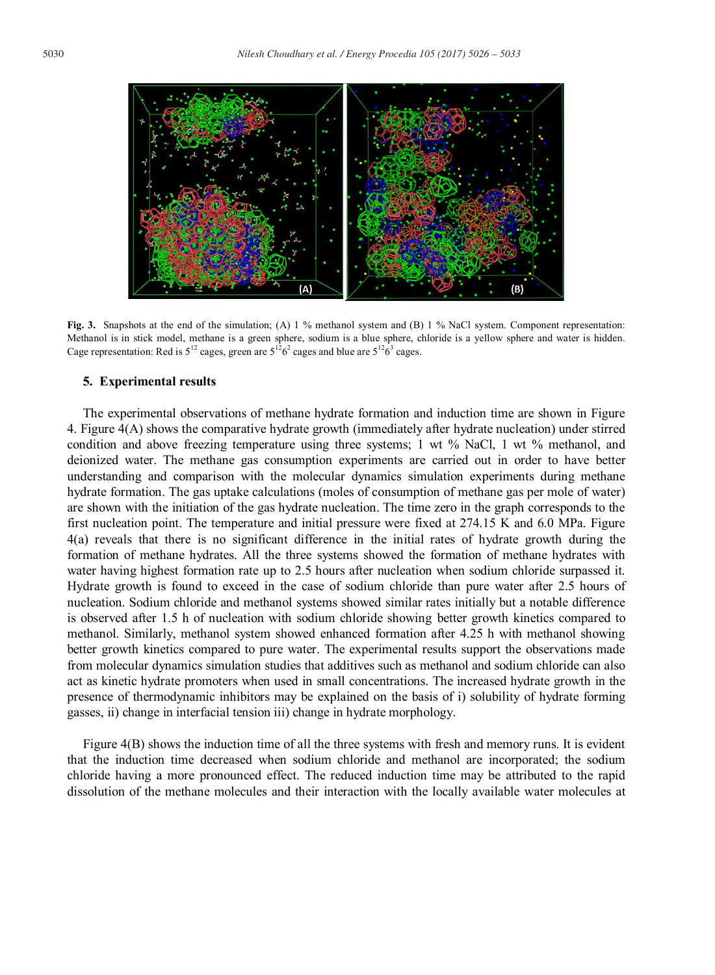

**Fig. 3.** Snapshots at the end of the simulation; (A) 1 % methanol system and (B) 1 % NaCl system. Component representation: Methanol is in stick model, methane is a green sphere, sodium is a blue sphere, chloride is a yellow sphere and water is hidden. Cage representation: Red is  $5^{12}$  cages, green are  $5^{12}6^2$  cages and blue are  $5^{12}6^3$  cages.

#### **5. Experimental results**

The experimental observations of methane hydrate formation and induction time are shown in Figure 4. Figure 4(A) shows the comparative hydrate growth (immediately after hydrate nucleation) under stirred condition and above freezing temperature using three systems; 1 wt % NaCl, 1 wt % methanol, and deionized water. The methane gas consumption experiments are carried out in order to have better understanding and comparison with the molecular dynamics simulation experiments during methane hydrate formation. The gas uptake calculations (moles of consumption of methane gas per mole of water) are shown with the initiation of the gas hydrate nucleation. The time zero in the graph corresponds to the first nucleation point. The temperature and initial pressure were fixed at 274.15 K and 6.0 MPa. Figure 4(a) reveals that there is no significant difference in the initial rates of hydrate growth during the formation of methane hydrates. All the three systems showed the formation of methane hydrates with water having highest formation rate up to 2.5 hours after nucleation when sodium chloride surpassed it. Hydrate growth is found to exceed in the case of sodium chloride than pure water after 2.5 hours of nucleation. Sodium chloride and methanol systems showed similar rates initially but a notable difference is observed after 1.5 h of nucleation with sodium chloride showing better growth kinetics compared to methanol. Similarly, methanol system showed enhanced formation after 4.25 h with methanol showing better growth kinetics compared to pure water. The experimental results support the observations made from molecular dynamics simulation studies that additives such as methanol and sodium chloride can also act as kinetic hydrate promoters when used in small concentrations. The increased hydrate growth in the presence of thermodynamic inhibitors may be explained on the basis of i) solubility of hydrate forming gasses, ii) change in interfacial tension iii) change in hydrate morphology.

Figure 4(B) shows the induction time of all the three systems with fresh and memory runs. It is evident that the induction time decreased when sodium chloride and methanol are incorporated; the sodium chloride having a more pronounced effect. The reduced induction time may be attributed to the rapid dissolution of the methane molecules and their interaction with the locally available water molecules at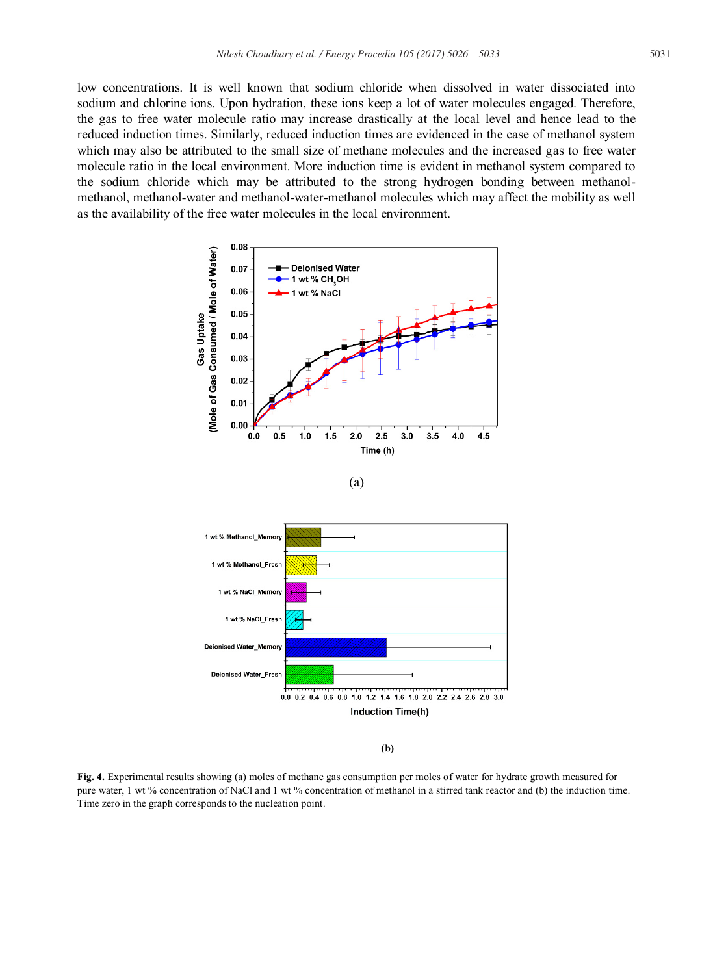low concentrations. It is well known that sodium chloride when dissolved in water dissociated into sodium and chlorine ions. Upon hydration, these ions keep a lot of water molecules engaged. Therefore, the gas to free water molecule ratio may increase drastically at the local level and hence lead to the reduced induction times. Similarly, reduced induction times are evidenced in the case of methanol system which may also be attributed to the small size of methane molecules and the increased gas to free water molecule ratio in the local environment. More induction time is evident in methanol system compared to the sodium chloride which may be attributed to the strong hydrogen bonding between methanolmethanol, methanol-water and methanol-water-methanol molecules which may affect the mobility as well as the availability of the free water molecules in the local environment.



(a)



 **(b)**

**Fig. 4.** Experimental results showing (a) moles of methane gas consumption per moles of water for hydrate growth measured for pure water, 1 wt % concentration of NaCl and 1 wt % concentration of methanol in a stirred tank reactor and (b) the induction time. Time zero in the graph corresponds to the nucleation point.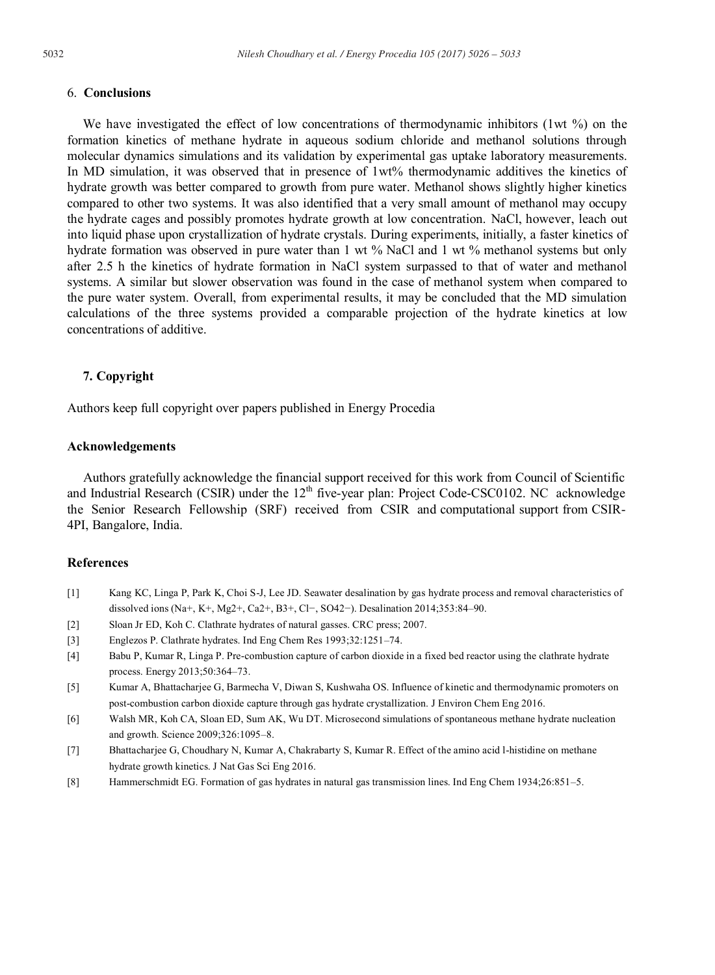# 6. **Conclusions**

We have investigated the effect of low concentrations of thermodynamic inhibitors (1wt %) on the formation kinetics of methane hydrate in aqueous sodium chloride and methanol solutions through molecular dynamics simulations and its validation by experimental gas uptake laboratory measurements. In MD simulation, it was observed that in presence of 1wt% thermodynamic additives the kinetics of hydrate growth was better compared to growth from pure water. Methanol shows slightly higher kinetics compared to other two systems. It was also identified that a very small amount of methanol may occupy the hydrate cages and possibly promotes hydrate growth at low concentration. NaCl, however, leach out into liquid phase upon crystallization of hydrate crystals. During experiments, initially, a faster kinetics of hydrate formation was observed in pure water than 1 wt % NaCl and 1 wt % methanol systems but only after 2.5 h the kinetics of hydrate formation in NaCl system surpassed to that of water and methanol systems. A similar but slower observation was found in the case of methanol system when compared to the pure water system. Overall, from experimental results, it may be concluded that the MD simulation calculations of the three systems provided a comparable projection of the hydrate kinetics at low concentrations of additive.

# **7. Copyright**

Authors keep full copyright over papers published in Energy Procedia

# **Acknowledgements**

Authors gratefully acknowledge the financial support received for this work from Council of Scientific and Industrial Research (CSIR) under the  $12<sup>th</sup>$  five-year plan: Project Code-CSC0102. NC acknowledge the Senior Research Fellowship (SRF) received from CSIR and computational support from CSIR-4PI, Bangalore, India.

#### **References**

- [1] Kang KC, Linga P, Park K, Choi S-J, Lee JD. Seawater desalination by gas hydrate process and removal characteristics of dissolved ions (Na+, K+, Mg2+, Ca2+, B3+, Cl−, SO42−). Desalination 2014;353:84–90.
- [2] Sloan Jr ED, Koh C. Clathrate hydrates of natural gasses. CRC press; 2007.
- [3] Englezos P. Clathrate hydrates. Ind Eng Chem Res 1993;32:1251–74.
- [4] Babu P, Kumar R, Linga P. Pre-combustion capture of carbon dioxide in a fixed bed reactor using the clathrate hydrate process. Energy 2013;50:364–73.
- [5] Kumar A, Bhattacharjee G, Barmecha V, Diwan S, Kushwaha OS. Influence of kinetic and thermodynamic promoters on post-combustion carbon dioxide capture through gas hydrate crystallization. J Environ Chem Eng 2016.
- [6] Walsh MR, Koh CA, Sloan ED, Sum AK, Wu DT. Microsecond simulations of spontaneous methane hydrate nucleation and growth. Science 2009;326:1095–8.
- [7] Bhattacharjee G, Choudhary N, Kumar A, Chakrabarty S, Kumar R. Effect of the amino acid l-histidine on methane hydrate growth kinetics. J Nat Gas Sci Eng 2016.
- [8] Hammerschmidt EG. Formation of gas hydrates in natural gas transmission lines. Ind Eng Chem 1934;26:851–5.